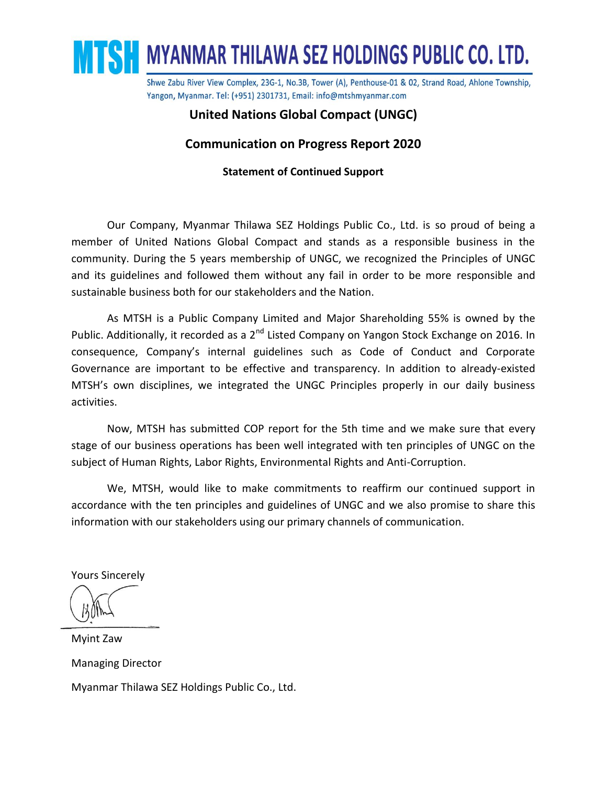

## **United Nations Global Compact (UNGC)**

### **Communication on Progress Report 2020**

### **Statement of Continued Support**

Our Company, Myanmar Thilawa SEZ Holdings Public Co., Ltd. is so proud of being a member of United Nations Global Compact and stands as a responsible business in the community. During the 5 years membership of UNGC, we recognized the Principles of UNGC and its guidelines and followed them without any fail in order to be more responsible and sustainable business both for our stakeholders and the Nation.

As MTSH is a Public Company Limited and Major Shareholding 55% is owned by the Public. Additionally, it recorded as a 2<sup>nd</sup> Listed Company on Yangon Stock Exchange on 2016. In consequence, Company's internal guidelines such as Code of Conduct and Corporate Governance are important to be effective and transparency. In addition to already-existed MTSH's own disciplines, we integrated the UNGC Principles properly in our daily business activities.

Now, MTSH has submitted COP report for the 5th time and we make sure that every stage of our business operations has been well integrated with ten principles of UNGC on the subject of Human Rights, Labor Rights, Environmental Rights and Anti-Corruption.

We, MTSH, would like to make commitments to reaffirm our continued support in accordance with the ten principles and guidelines of UNGC and we also promise to share this information with our stakeholders using our primary channels of communication.

Yours Sincerely

Myint Zaw Managing Director Myanmar Thilawa SEZ Holdings Public Co., Ltd.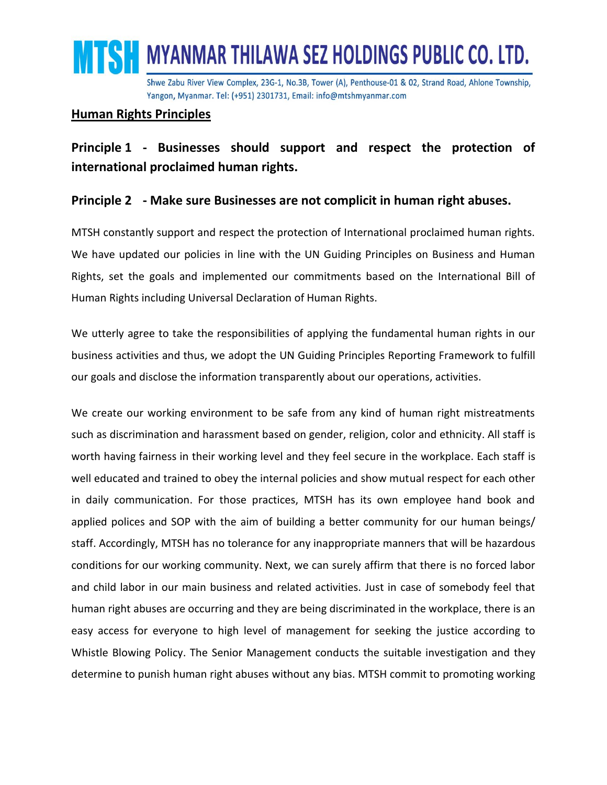

### **Human Rights Principles**

# **Principle 1 - Businesses should support and respect the protection of international proclaimed human rights.**

# **Principle 2 - Make sure Businesses are not complicit in human right abuses.**

MTSH constantly support and respect the protection of International proclaimed human rights. We have updated our policies in line with the UN Guiding Principles on Business and Human Rights, set the goals and implemented our commitments based on the International Bill of Human Rights including Universal Declaration of Human Rights.

We utterly agree to take the responsibilities of applying the fundamental human rights in our business activities and thus, we adopt the UN Guiding Principles Reporting Framework to fulfill our goals and disclose the information transparently about our operations, activities.

We create our working environment to be safe from any kind of human right mistreatments such as discrimination and harassment based on gender, religion, color and ethnicity. All staff is worth having fairness in their working level and they feel secure in the workplace. Each staff is well educated and trained to obey the internal policies and show mutual respect for each other in daily communication. For those practices, MTSH has its own employee hand book and applied polices and SOP with the aim of building a better community for our human beings/ staff. Accordingly, MTSH has no tolerance for any inappropriate manners that will be hazardous conditions for our working community. Next, we can surely affirm that there is no forced labor and child labor in our main business and related activities. Just in case of somebody feel that human right abuses are occurring and they are being discriminated in the workplace, there is an easy access for everyone to high level of management for seeking the justice according to Whistle Blowing Policy. The Senior Management conducts the suitable investigation and they determine to punish human right abuses without any bias. MTSH commit to promoting working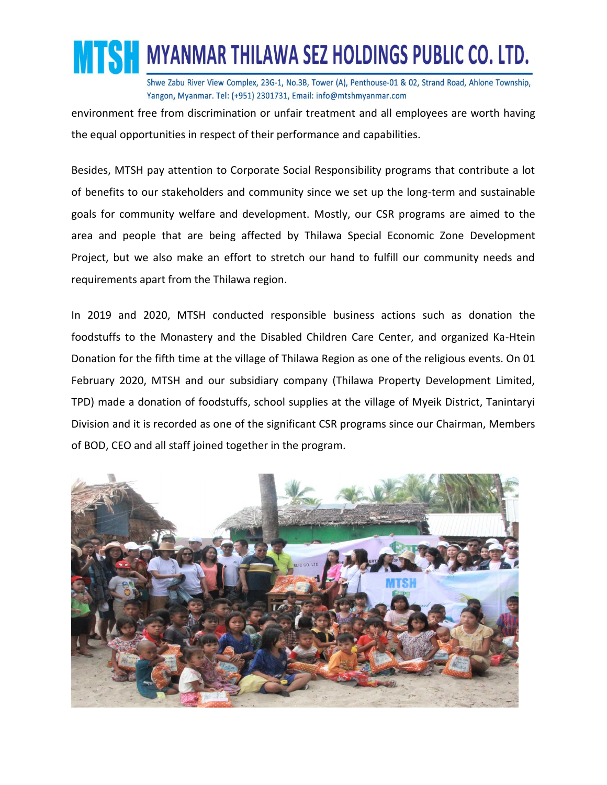

environment free from discrimination or unfair treatment and all employees are worth having the equal opportunities in respect of their performance and capabilities.

Besides, MTSH pay attention to Corporate Social Responsibility programs that contribute a lot of benefits to our stakeholders and community since we set up the long-term and sustainable goals for community welfare and development. Mostly, our CSR programs are aimed to the area and people that are being affected by Thilawa Special Economic Zone Development Project, but we also make an effort to stretch our hand to fulfill our community needs and requirements apart from the Thilawa region.

In 2019 and 2020, MTSH conducted responsible business actions such as donation the foodstuffs to the Monastery and the Disabled Children Care Center, and organized Ka-Htein Donation for the fifth time at the village of Thilawa Region as one of the religious events. On 01 February 2020, MTSH and our subsidiary company (Thilawa Property Development Limited, TPD) made a donation of foodstuffs, school supplies at the village of Myeik District, Tanintaryi Division and it is recorded as one of the significant CSR programs since our Chairman, Members of BOD, CEO and all staff joined together in the program.

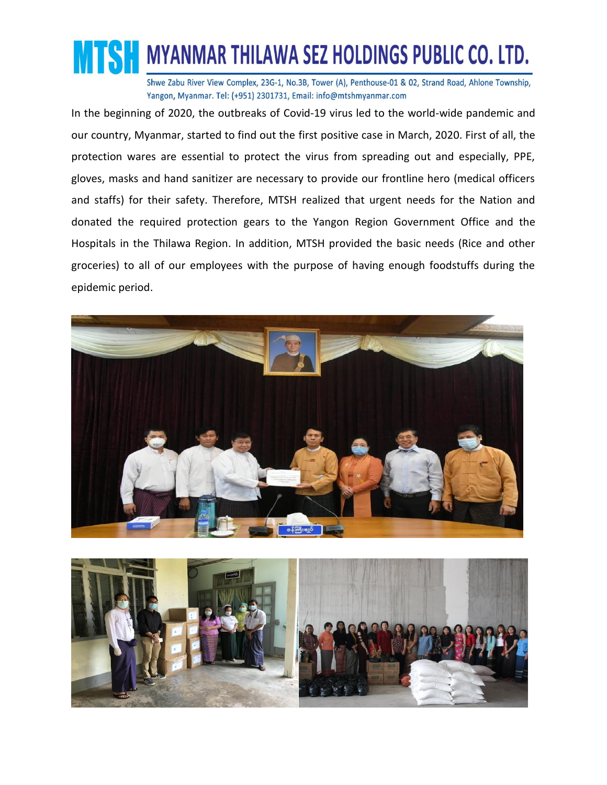

In the beginning of 2020, the outbreaks of Covid-19 virus led to the world-wide pandemic and our country, Myanmar, started to find out the first positive case in March, 2020. First of all, the protection wares are essential to protect the virus from spreading out and especially, PPE, gloves, masks and hand sanitizer are necessary to provide our frontline hero (medical officers and staffs) for their safety. Therefore, MTSH realized that urgent needs for the Nation and donated the required protection gears to the Yangon Region Government Office and the Hospitals in the Thilawa Region. In addition, MTSH provided the basic needs (Rice and other groceries) to all of our employees with the purpose of having enough foodstuffs during the epidemic period.



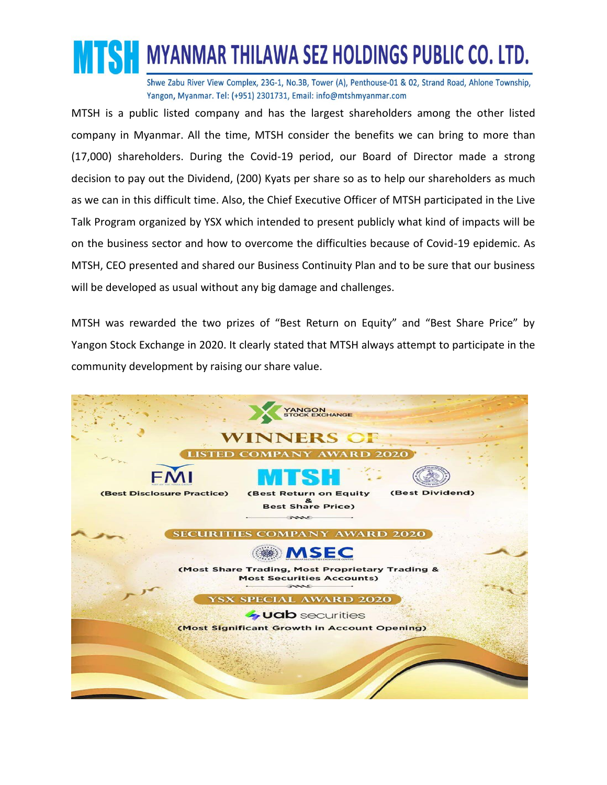

MTSH is a public listed company and has the largest shareholders among the other listed company in Myanmar. All the time, MTSH consider the benefits we can bring to more than (17,000) shareholders. During the Covid-19 period, our Board of Director made a strong decision to pay out the Dividend, (200) Kyats per share so as to help our shareholders as much as we can in this difficult time. Also, the Chief Executive Officer of MTSH participated in the Live Talk Program organized by YSX which intended to present publicly what kind of impacts will be on the business sector and how to overcome the difficulties because of Covid-19 epidemic. As MTSH, CEO presented and shared our Business Continuity Plan and to be sure that our business will be developed as usual without any big damage and challenges.

MTSH was rewarded the two prizes of "Best Return on Equity" and "Best Share Price" by Yangon Stock Exchange in 2020. It clearly stated that MTSH always attempt to participate in the community development by raising our share value.

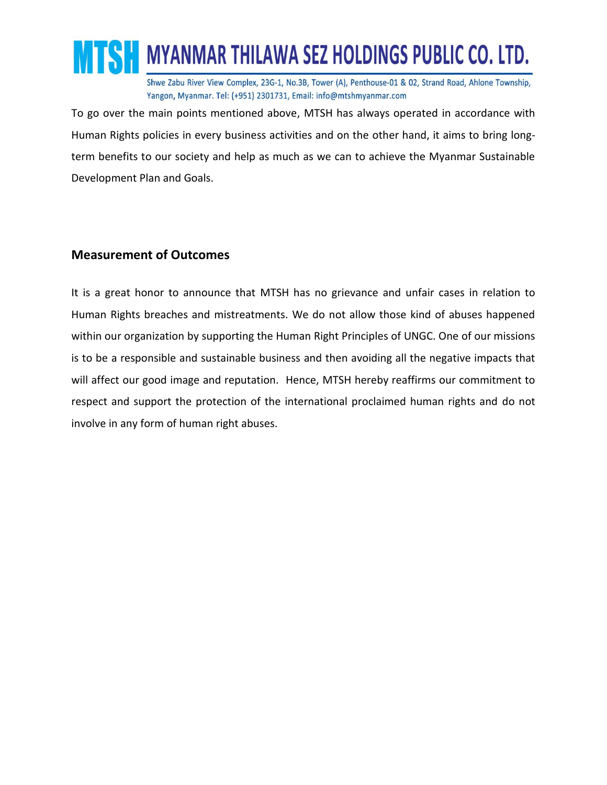

To go over the main points mentioned above, MTSH has always operated in accordance with Human Rights policies in every business activities and on the other hand, it aims to bring longterm benefits to our society and help as much as we can to achieve the Myanmar Sustainable Development Plan and Goals.

# **Measurement of Outcomes**

It is a great honor to announce that MTSH has no grievance and unfair cases in relation to Human Rights breaches and mistreatments. We do not allow those kind of abuses happened within our organization by supporting the Human Right Principles of UNGC. One of our missions is to be a responsible and sustainable business and then avoiding all the negative impacts that will affect our good image and reputation. Hence, MTSH hereby reaffirms our commitment to respect and support the protection of the international proclaimed human rights and do not involve in any form of human right abuses.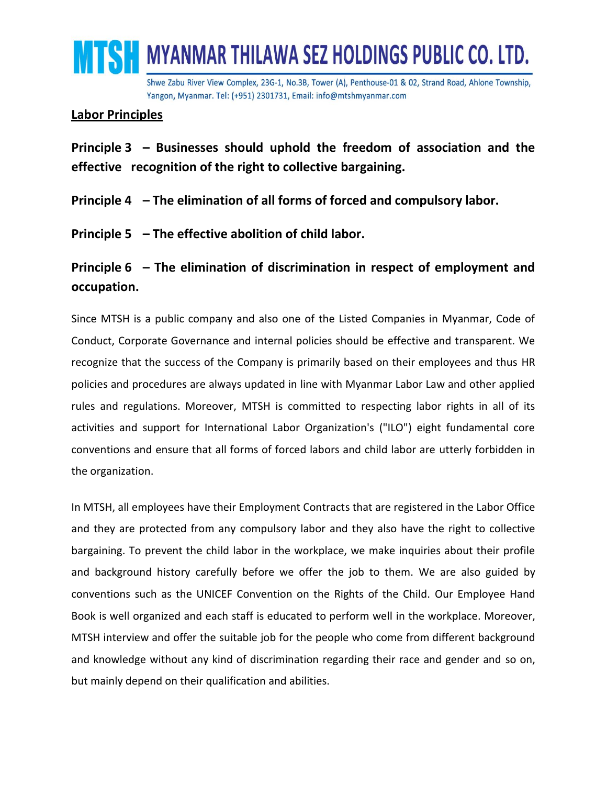

## **Labor Principles**

**Principle 3 – Businesses should uphold the freedom of association and the effective recognition of the right to collective bargaining.**

**Principle 4 – The elimination of all forms of forced and compulsory labor.**

**Principle 5 – The effective abolition of child labor.**

**Principle 6 – The elimination of discrimination in respect of employment and occupation.**

Since MTSH is a public company and also one of the Listed Companies in Myanmar, Code of Conduct, Corporate Governance and internal policies should be effective and transparent. We recognize that the success of the Company is primarily based on their employees and thus HR policies and procedures are always updated in line with Myanmar Labor Law and other applied rules and regulations. Moreover, MTSH is committed to respecting labor rights in all of its activities and support for International Labor Organization's ("ILO") eight fundamental core conventions and ensure that all forms of forced labors and child labor are utterly forbidden in the organization.

In MTSH, all employees have their Employment Contracts that are registered in the Labor Office and they are protected from any compulsory labor and they also have the right to collective bargaining. To prevent the child labor in the workplace, we make inquiries about their profile and background history carefully before we offer the job to them. We are also guided by conventions such as the UNICEF Convention on the Rights of the Child. Our Employee Hand Book is well organized and each staff is educated to perform well in the workplace. Moreover, MTSH interview and offer the suitable job for the people who come from different background and knowledge without any kind of discrimination regarding their race and gender and so on, but mainly depend on their qualification and abilities.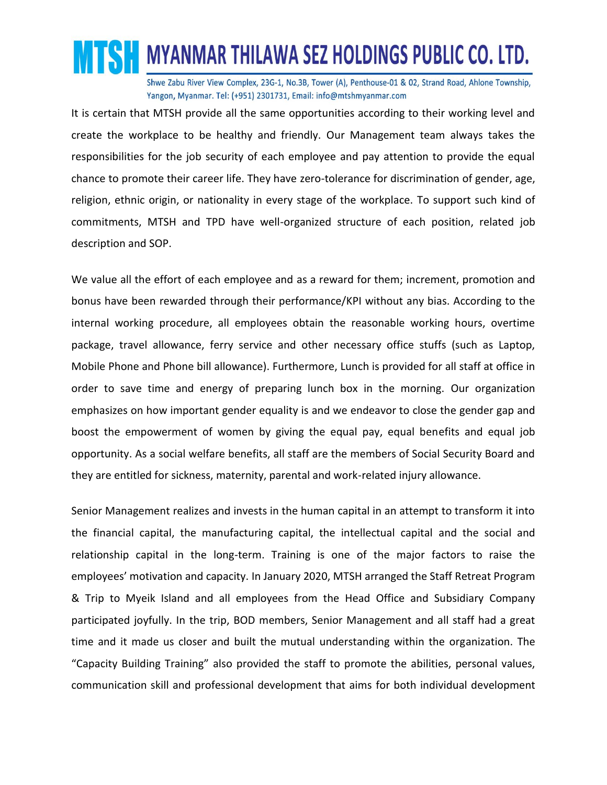# **MTSH MYANMAR THILAWA SEZ HOLDINGS PUBLIC CO. LTD.**

Shwe Zabu River View Complex, 23G-1, No.3B, Tower (A), Penthouse-01 & 02, Strand Road, Ahlone Township, Yangon, Myanmar. Tel: (+951) 2301731, Email: info@mtshmyanmar.com

It is certain that MTSH provide all the same opportunities according to their working level and create the workplace to be healthy and friendly. Our Management team always takes the responsibilities for the job security of each employee and pay attention to provide the equal chance to promote their career life. They have zero-tolerance for discrimination of gender, age, religion, ethnic origin, or nationality in every stage of the workplace. To support such kind of commitments, MTSH and TPD have well-organized structure of each position, related job description and SOP.

We value all the effort of each employee and as a reward for them; increment, promotion and bonus have been rewarded through their performance/KPI without any bias. According to the internal working procedure, all employees obtain the reasonable working hours, overtime package, travel allowance, ferry service and other necessary office stuffs (such as Laptop, Mobile Phone and Phone bill allowance). Furthermore, Lunch is provided for all staff at office in order to save time and energy of preparing lunch box in the morning. Our organization emphasizes on how important gender equality is and we endeavor to close the gender gap and boost the empowerment of women by giving the equal pay, equal benefits and equal job opportunity. As a social welfare benefits, all staff are the members of Social Security Board and they are entitled for sickness, maternity, parental and work-related injury allowance.

Senior Management realizes and invests in the human capital in an attempt to transform it into the financial capital, the manufacturing capital, the intellectual capital and the social and relationship capital in the long-term. Training is one of the major factors to raise the employees' motivation and capacity. In January 2020, MTSH arranged the Staff Retreat Program & Trip to Myeik Island and all employees from the Head Office and Subsidiary Company participated joyfully. In the trip, BOD members, Senior Management and all staff had a great time and it made us closer and built the mutual understanding within the organization. The "Capacity Building Training" also provided the staff to promote the abilities, personal values, communication skill and professional development that aims for both individual development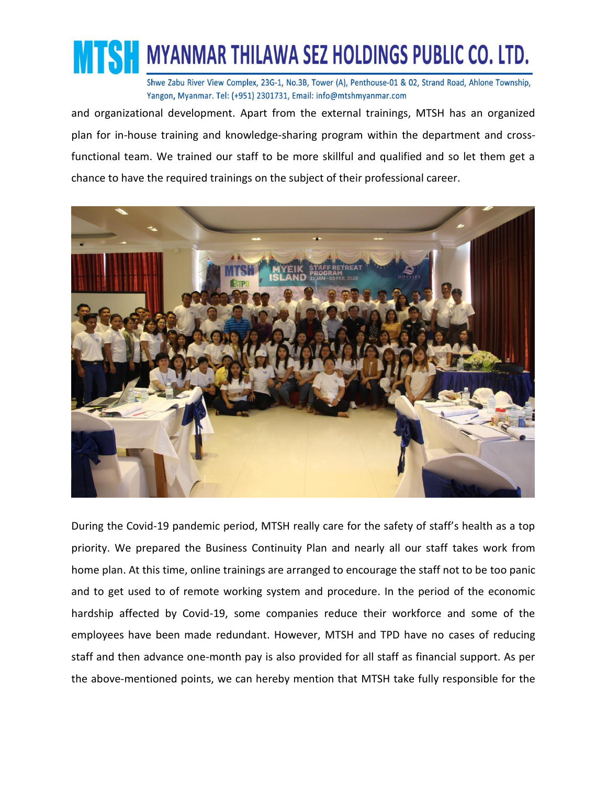

and organizational development. Apart from the external trainings, MTSH has an organized plan for in-house training and knowledge-sharing program within the department and crossfunctional team. We trained our staff to be more skillful and qualified and so let them get a chance to have the required trainings on the subject of their professional career.



During the Covid-19 pandemic period, MTSH really care for the safety of staff's health as a top priority. We prepared the Business Continuity Plan and nearly all our staff takes work from home plan. At this time, online trainings are arranged to encourage the staff not to be too panic and to get used to of remote working system and procedure. In the period of the economic hardship affected by Covid-19, some companies reduce their workforce and some of the employees have been made redundant. However, MTSH and TPD have no cases of reducing staff and then advance one-month pay is also provided for all staff as financial support. As per the above-mentioned points, we can hereby mention that MTSH take fully responsible for the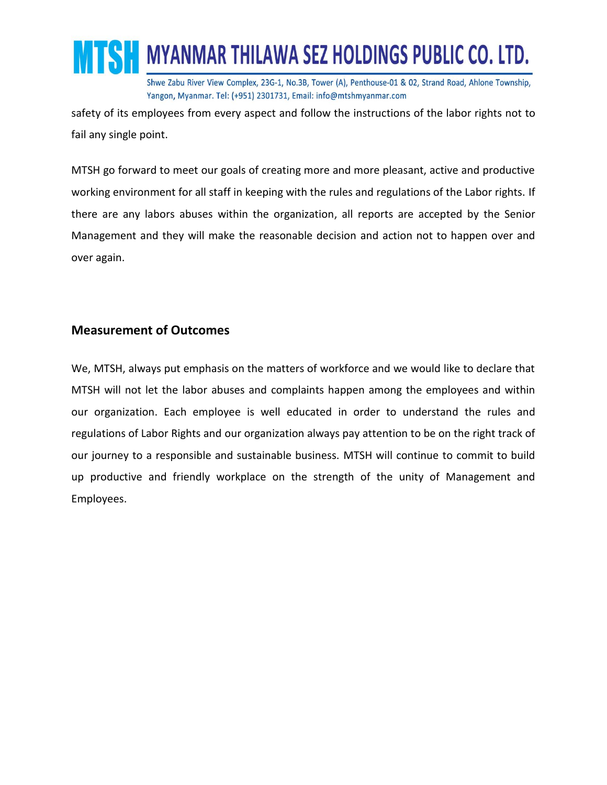

safety of its employees from every aspect and follow the instructions of the labor rights not to fail any single point.

MTSH go forward to meet our goals of creating more and more pleasant, active and productive working environment for all staff in keeping with the rules and regulations of the Labor rights. If there are any labors abuses within the organization, all reports are accepted by the Senior Management and they will make the reasonable decision and action not to happen over and over again.

### **Measurement of Outcomes**

We, MTSH, always put emphasis on the matters of workforce and we would like to declare that MTSH will not let the labor abuses and complaints happen among the employees and within our organization. Each employee is well educated in order to understand the rules and regulations of Labor Rights and our organization always pay attention to be on the right track of our journey to a responsible and sustainable business. MTSH will continue to commit to build up productive and friendly workplace on the strength of the unity of Management and Employees.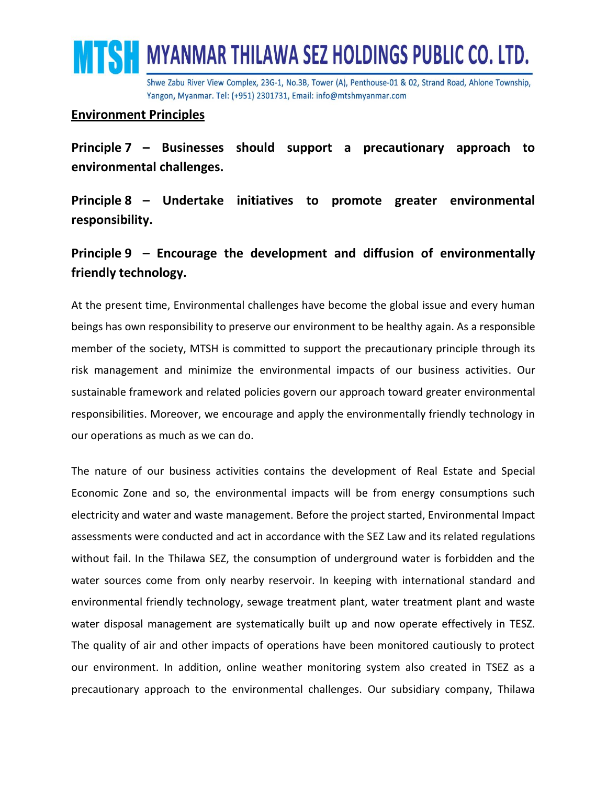

### **Environment Principles**

**Principle 7 – Businesses should support a precautionary approach to environmental challenges.**

**Principle 8 – Undertake initiatives to promote greater environmental responsibility.**

# **Principle 9 – Encourage the development and diffusion of environmentally friendly technology.**

At the present time, Environmental challenges have become the global issue and every human beings has own responsibility to preserve our environment to be healthy again. As a responsible member of the society, MTSH is committed to support the precautionary principle through its risk management and minimize the environmental impacts of our business activities. Our sustainable framework and related policies govern our approach toward greater environmental responsibilities. Moreover, we encourage and apply the environmentally friendly technology in our operations as much as we can do.

The nature of our business activities contains the development of Real Estate and Special Economic Zone and so, the environmental impacts will be from energy consumptions such electricity and water and waste management. Before the project started, Environmental Impact assessments were conducted and act in accordance with the SEZ Law and its related regulations without fail. In the Thilawa SEZ, the consumption of underground water is forbidden and the water sources come from only nearby reservoir. In keeping with international standard and environmental friendly technology, sewage treatment plant, water treatment plant and waste water disposal management are systematically built up and now operate effectively in TESZ. The quality of air and other impacts of operations have been monitored cautiously to protect our environment. In addition, online weather monitoring system also created in TSEZ as a precautionary approach to the environmental challenges. Our subsidiary company, Thilawa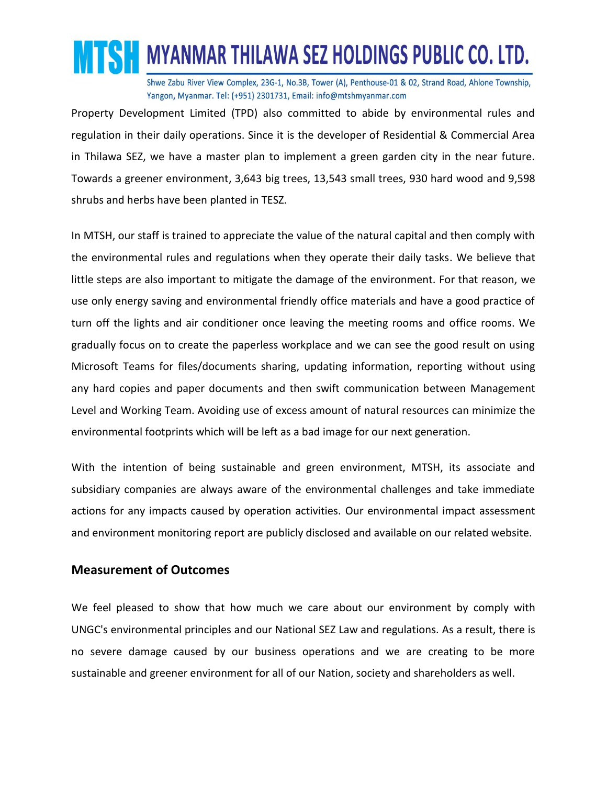

Property Development Limited (TPD) also committed to abide by environmental rules and regulation in their daily operations. Since it is the developer of Residential & Commercial Area in Thilawa SEZ, we have a master plan to implement a green garden city in the near future. Towards a greener environment, 3,643 big trees, 13,543 small trees, 930 hard wood and 9,598 shrubs and herbs have been planted in TESZ.

In MTSH, our staff is trained to appreciate the value of the natural capital and then comply with the environmental rules and regulations when they operate their daily tasks. We believe that little steps are also important to mitigate the damage of the environment. For that reason, we use only energy saving and environmental friendly office materials and have a good practice of turn off the lights and air conditioner once leaving the meeting rooms and office rooms. We gradually focus on to create the paperless workplace and we can see the good result on using Microsoft Teams for files/documents sharing, updating information, reporting without using any hard copies and paper documents and then swift communication between Management Level and Working Team. Avoiding use of excess amount of natural resources can minimize the environmental footprints which will be left as a bad image for our next generation.

With the intention of being sustainable and green environment, MTSH, its associate and subsidiary companies are always aware of the environmental challenges and take immediate actions for any impacts caused by operation activities. Our environmental impact assessment and environment monitoring report are publicly disclosed and available on our related website.

#### **Measurement of Outcomes**

We feel pleased to show that how much we care about our environment by comply with UNGC's environmental principles and our National SEZ Law and regulations. As a result, there is no severe damage caused by our business operations and we are creating to be more sustainable and greener environment for all of our Nation, society and shareholders as well.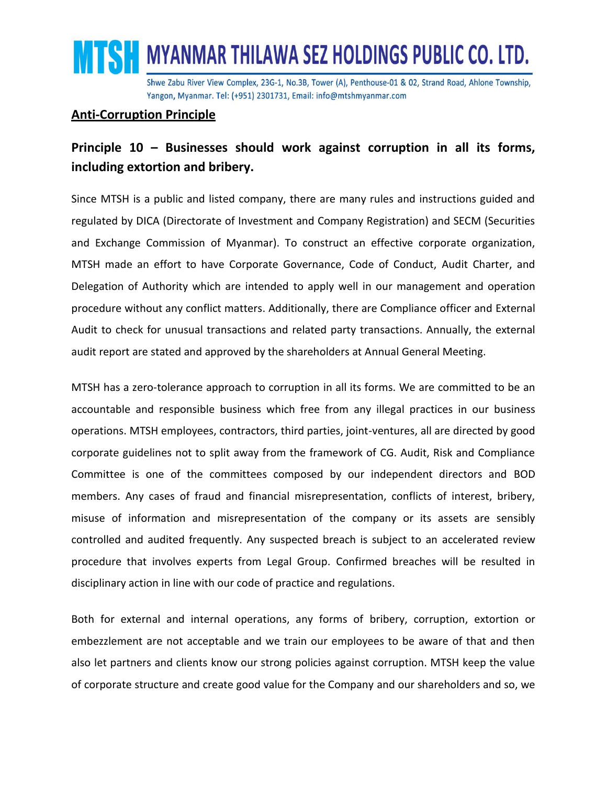

### **Anti-Corruption Principle**

# **Principle 10 – Businesses should work against corruption in all its forms, including extortion and bribery.**

Since MTSH is a public and listed company, there are many rules and instructions guided and regulated by DICA (Directorate of Investment and Company Registration) and SECM (Securities and Exchange Commission of Myanmar). To construct an effective corporate organization, MTSH made an effort to have Corporate Governance, Code of Conduct, Audit Charter, and Delegation of Authority which are intended to apply well in our management and operation procedure without any conflict matters. Additionally, there are Compliance officer and External Audit to check for unusual transactions and related party transactions. Annually, the external audit report are stated and approved by the shareholders at Annual General Meeting.

MTSH has a zero-tolerance approach to corruption in all its forms. We are committed to be an accountable and responsible business which free from any illegal practices in our business operations. MTSH employees, contractors, third parties, joint-ventures, all are directed by good corporate guidelines not to split away from the framework of CG. Audit, Risk and Compliance Committee is one of the committees composed by our independent directors and BOD members. Any cases of fraud and financial misrepresentation, conflicts of interest, bribery, misuse of information and misrepresentation of the company or its assets are sensibly controlled and audited frequently. Any suspected breach is subject to an accelerated review procedure that involves experts from Legal Group. Confirmed breaches will be resulted in disciplinary action in line with our code of practice and regulations.

Both for external and internal operations, any forms of bribery, corruption, extortion or embezzlement are not acceptable and we train our employees to be aware of that and then also let partners and clients know our strong policies against corruption. MTSH keep the value of corporate structure and create good value for the Company and our shareholders and so, we